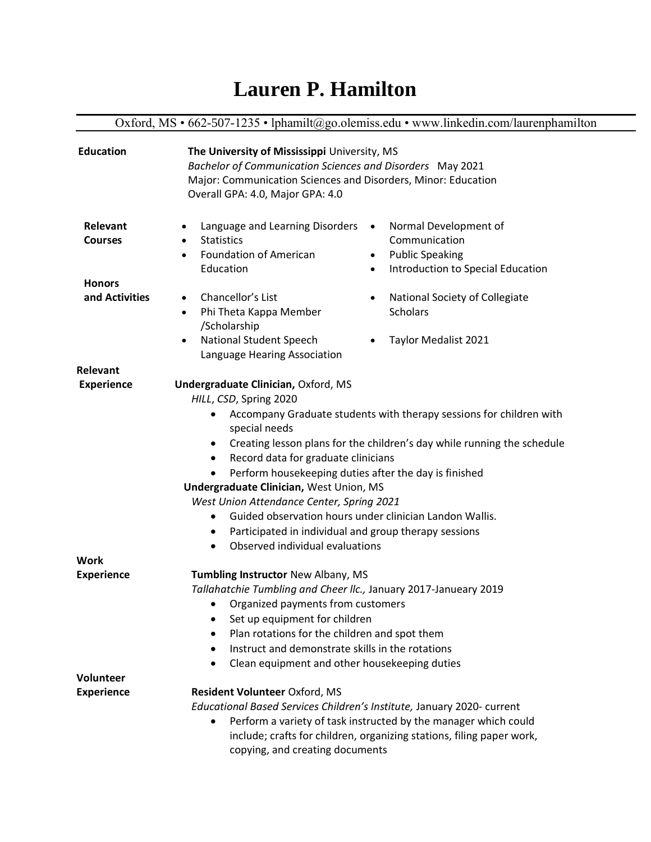## **Lauren P. Hamilton**

Oxford, MS • 662-507-1235 • lphamilt@go.olemiss.edu • www.linkedin.com/laurenphamilton **Relevant Courses Honors and Activities** Language and Learning Disorders • • Statistics • Foundation of American Education • Chancellor's List • Phi Theta Kappa Member /Scholarship • National Student Speech Language Hearing Association • Normal Development of Communication • Public Speaking • Introduction to Special Education • National Society of Collegiate **Scholars** • Taylor Medalist 2021 **Relevant Experience Undergraduate Clinician, Oxford, MS** *HILL*, *CSD*, Spring 2020 • Accompany Graduate students with therapy sessions for children with special needs • Creating lesson plans for the children's day while running the schedule • Record data for graduate clinicians • Perform housekeeping duties after the day is finished  **Undergraduate Clinician,** West Union, MS *West Union Attendance Center, Spring 2021* • Guided observation hours under clinician Landon Wallis. • Participated in individual and group therapy sessions • Observed individual evaluations **Work Experience Tumbling Instructor New Albany, MS** *Tallahatchie Tumbling and Cheer llc.,* January 2017-Janueary 2019 • Organized payments from customers • Set up equipment for children • Plan rotations for the children and spot them • Instruct and demonstrate skills in the rotations • Clean equipment and other housekeeping duties **Volunteer Experience** Resident Volunteer Oxford, MS *Educational Based Services Children's Institute,* January 2020- current • Perform a variety of task instructed by the manager which could include; crafts for children, organizing stations, filing paper work, copying, and creating documents **Education The University of Mississippi** University, MS *Bachelor of Communication Sciences and Disorders* May 2021 Major: Communication Sciences and Disorders, Minor: Education Overall GPA: 4.0, Major GPA: 4.0